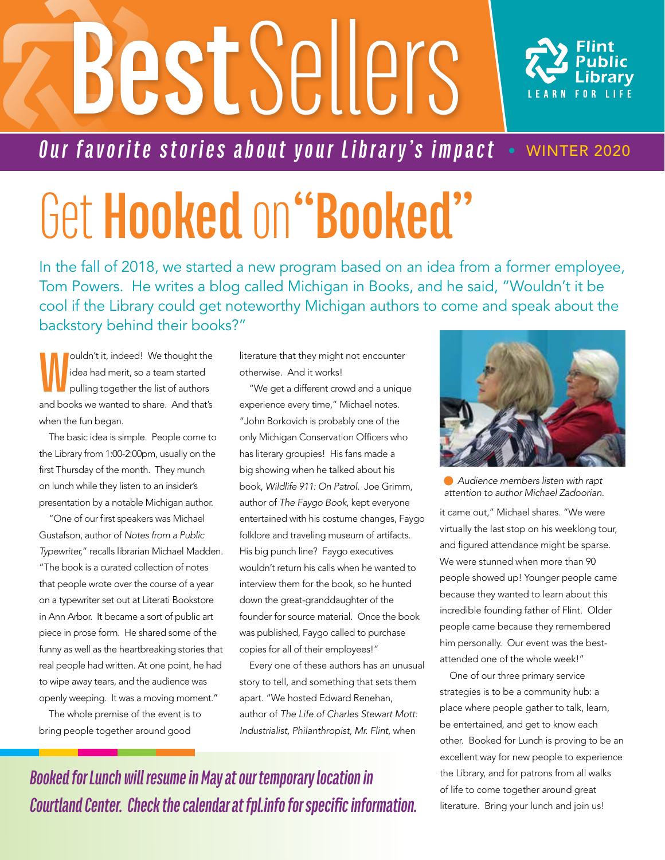# **Best** Sellers



#### *Our favorite stories about your Library's impact* • WINTER 2020

## Get **Hooked** on **"Booked"**

In the fall of 2018, we started a new program based on an idea from a former employee, Tom Powers. He writes a blog called Michigan in Books, and he said, "Wouldn't it be cool if the Library could get noteworthy Michigan authors to come and speak about the backstory behind their books?"

**W** ouldn't it, indeed! We thought the idea had merit, so a team started pulling together the list of authors and books we wanted to share. And that's when the fun began.

The basic idea is simple. People come to the Library from 1:00-2:00pm, usually on the first Thursday of the month. They munch on lunch while they listen to an insider's presentation by a notable Michigan author.

"One of our first speakers was Michael Gustafson, author of *Notes from a Public Typewriter,*" recalls librarian Michael Madden. "The book is a curated collection of notes that people wrote over the course of a year on a typewriter set out at Literati Bookstore in Ann Arbor. It became a sort of public art piece in prose form. He shared some of the funny as well as the heartbreaking stories that real people had written. At one point, he had to wipe away tears, and the audience was openly weeping. It was a moving moment."

The whole premise of the event is to bring people together around good

literature that they might not encounter otherwise. And it works!

"We get a different crowd and a unique experience every time," Michael notes. "John Borkovich is probably one of the only Michigan Conservation Officers who has literary groupies! His fans made a big showing when he talked about his book, *Wildlife 911: On Patrol.* Joe Grimm, author of *The Faygo Book*, kept everyone entertained with his costume changes, Faygo folklore and traveling museum of artifacts. His big punch line? Faygo executives wouldn't return his calls when he wanted to interview them for the book, so he hunted down the great-granddaughter of the founder for source material. Once the book was published, Faygo called to purchase copies for all of their employees!"

Every one of these authors has an unusual story to tell, and something that sets them apart. "We hosted Edward Renehan, author of *The Life of Charles Stewart Mott: Industrialist, Philanthropist, Mr. Flint*, when



 *Audience members listen with rapt attention to author Michael Zadoorian.*

it came out," Michael shares. "We were virtually the last stop on his weeklong tour, and figured attendance might be sparse. We were stunned when more than 90 people showed up! Younger people came because they wanted to learn about this incredible founding father of Flint. Older people came because they remembered him personally. Our event was the bestattended one of the whole week!"

One of our three primary service strategies is to be a community hub: a place where people gather to talk, learn, be entertained, and get to know each other. Booked for Lunch is proving to be an excellent way for new people to experience the Library, and for patrons from all walks of life to come together around great literature. Bring your lunch and join us!

*Booked for Lunch will resume in May at our temporary location in Courtland Center. Check the calendar at fpl.info for specific information.*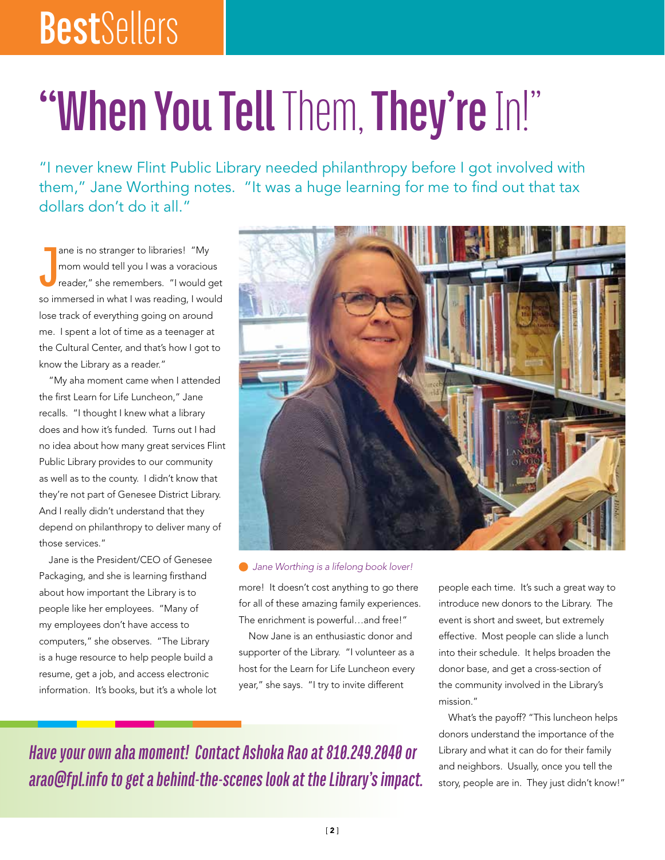### **Best**Sellers

### **"When You Tell** Them, **They're** In!"

"I never knew Flint Public Library needed philanthropy before I got involved with them," Jane Worthing notes. "It was a huge learning for me to find out that tax dollars don't do it all."

**J** ane is no stranger to libraries! "My mom would tell you I was a voracious reader," she remembers. "I would get so immersed in what I was reading, I would lose track of everything going on around me. I spent a lot of time as a teenager at the Cultural Center, and that's how I got to know the Library as a reader."

"My aha moment came when I attended the first Learn for Life Luncheon," Jane recalls. "I thought I knew what a library does and how it's funded. Turns out I had no idea about how many great services Flint Public Library provides to our community as well as to the county. I didn't know that they're not part of Genesee District Library. And I really didn't understand that they depend on philanthropy to deliver many of those services."

Jane is the President/CEO of Genesee Packaging, and she is learning firsthand about how important the Library is to people like her employees. "Many of my employees don't have access to computers," she observes. "The Library is a huge resource to help people build a resume, get a job, and access electronic information. It's books, but it's a whole lot



#### *Jane Worthing is a lifelong book lover!*

more! It doesn't cost anything to go there for all of these amazing family experiences. The enrichment is powerful…and free!"

Now Jane is an enthusiastic donor and supporter of the Library. "I volunteer as a host for the Learn for Life Luncheon every year," she says. "I try to invite different

people each time. It's such a great way to introduce new donors to the Library. The event is short and sweet, but extremely effective. Most people can slide a lunch into their schedule. It helps broaden the donor base, and get a cross-section of the community involved in the Library's mission."

What's the payoff? "This luncheon helps donors understand the importance of the Library and what it can do for their family and neighbors. Usually, once you tell the story, people are in. They just didn't know!"

*Have your own aha moment! Contact Ashoka Rao at 810.249.2040 or arao@fpl.info to get a behind-the-scenes look at the Library's impact.*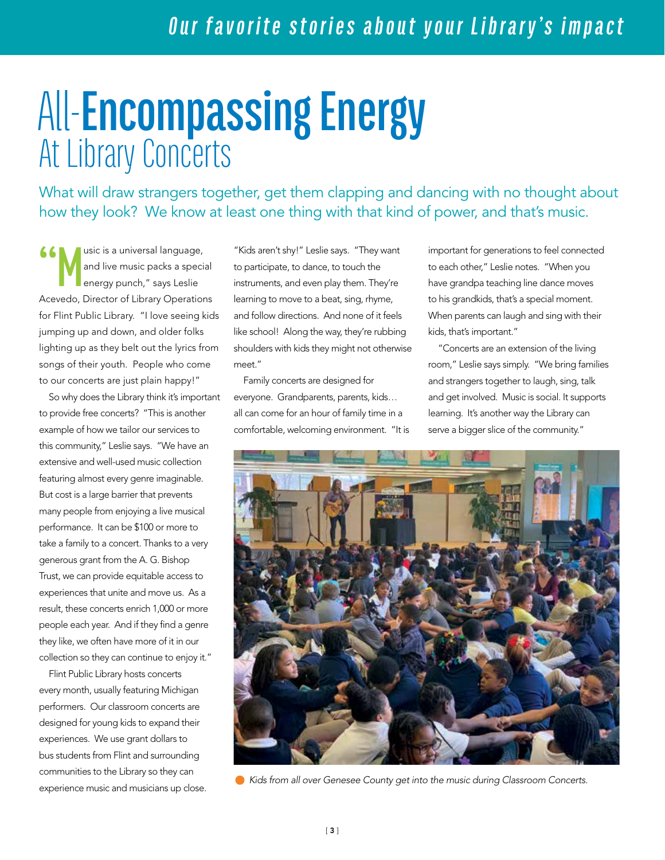# All-**Encompassing Energy** At Library Concerts

What will draw strangers together, get them clapping and dancing with no thought about how they look? We know at least one thing with that kind of power, and that's music.

**66** Music is a universal language,<br>and live music packs a special energy punch," says Leslie and live music packs a special energy punch," says Leslie Acevedo, Director of Library Operations for Flint Public Library. "I love seeing kids jumping up and down, and older folks lighting up as they belt out the lyrics from songs of their youth. People who come to our concerts are just plain happy!"

So why does the Library think it's important to provide free concerts? "This is another example of how we tailor our services to this community," Leslie says. "We have an extensive and well-used music collection featuring almost every genre imaginable. But cost is a large barrier that prevents many people from enjoying a live musical performance. It can be \$100 or more to take a family to a concert. Thanks to a very generous grant from the A. G. Bishop Trust, we can provide equitable access to experiences that unite and move us. As a result, these concerts enrich 1,000 or more people each year. And if they find a genre they like, we often have more of it in our collection so they can continue to enjoy it."

Flint Public Library hosts concerts every month, usually featuring Michigan performers. Our classroom concerts are designed for young kids to expand their experiences. We use grant dollars to bus students from Flint and surrounding communities to the Library so they can experience music and musicians up close.

"Kids aren't shy!" Leslie says. "They want to participate, to dance, to touch the instruments, and even play them. They're learning to move to a beat, sing, rhyme, and follow directions. And none of it feels like school! Along the way, they're rubbing shoulders with kids they might not otherwise meet."

Family concerts are designed for everyone. Grandparents, parents, kids… all can come for an hour of family time in a comfortable, welcoming environment. "It is important for generations to feel connected to each other," Leslie notes. "When you have grandpa teaching line dance moves to his grandkids, that's a special moment. When parents can laugh and sing with their kids, that's important."

"Concerts are an extension of the living room," Leslie says simply. "We bring families and strangers together to laugh, sing, talk and get involved. Music is social. It supports learning. It's another way the Library can serve a bigger slice of the community."



 *Kids from all over Genesee County get into the music during Classroom Concerts.*